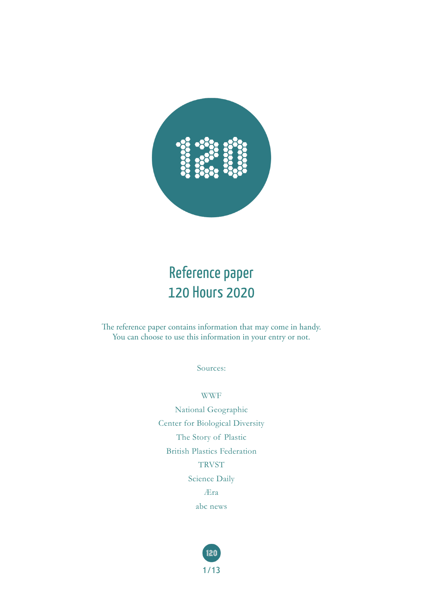

#### Reference paper 120 Hours 2020

The reference paper contains information that may come in handy. You can choose to use this information in your entry or not.

Sources:

WWF

National Geographic Center for Biological Diversity The Story of Plastic British Plastics Federation **TRVST** Science Daily Æra abc news

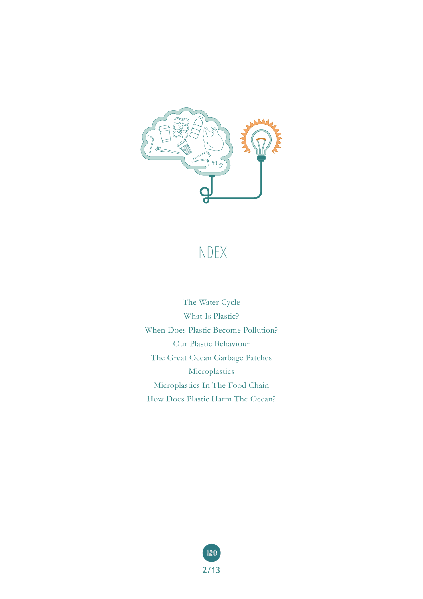

#### INDEX

The Water Cycle What Is Plastic? When Does Plastic Become Pollution? Our Plastic Behaviour The Great Ocean Garbage Patches Microplastics Microplastics In The Food Chain How Does Plastic Harm The Ocean?

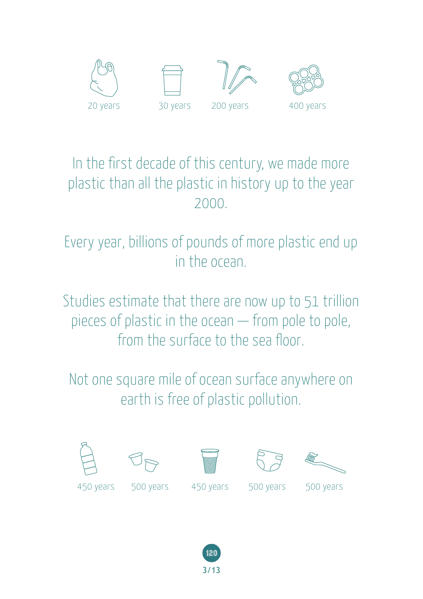

#### In the first decade of this century, we made more plastic than all the plastic in history up to the year 2000.

Every year, billions of pounds of more plastic end up in the ocean.

Studies estimate that there are now up to 51 trillion pieces of plastic in the ocean — from pole to pole, from the surface to the sea floor.

Not one square mile of ocean surface anywhere on earth is free of plastic pollution.











450 years 500 years 450 years 500 years 500 years

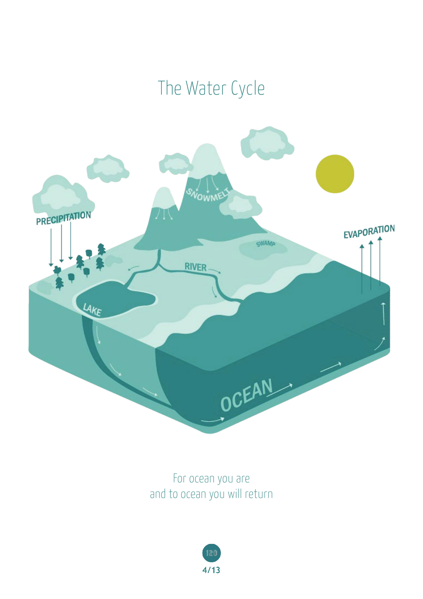# The Water Cycle



For ocean you are and to ocean you will return

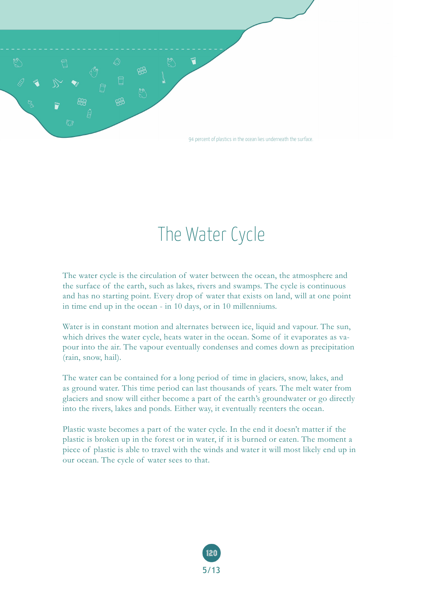

# The Water Cycle

The water cycle is the circulation of water between the ocean, the atmosphere and the surface of the earth, such as lakes, rivers and swamps. The cycle is continuous and has no starting point. Every drop of water that exists on land, will at one point in time end up in the ocean - in 10 days, or in 10 millenniums.

Water is in constant motion and alternates between ice, liquid and vapour. The sun, which drives the water cycle, heats water in the ocean. Some of it evaporates as vapour into the air. The vapour eventually condenses and comes down as precipitation (rain, snow, hail).

The water can be contained for a long period of time in glaciers, snow, lakes, and as ground water. This time period can last thousands of years. The melt water from glaciers and snow will either become a part of the earth's groundwater or go directly into the rivers, lakes and ponds. Either way, it eventually reenters the ocean.

Plastic waste becomes a part of the water cycle. In the end it doesn't matter if the plastic is broken up in the forest or in water, if it is burned or eaten. The moment a piece of plastic is able to travel with the winds and water it will most likely end up in our ocean. The cycle of water sees to that.

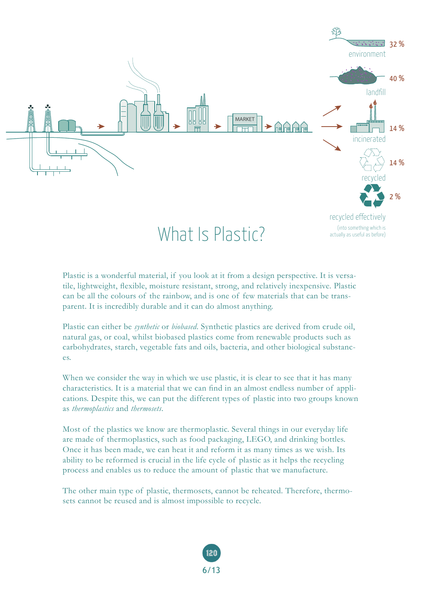

Plastic is a wonderful material, if you look at it from a design perspective. It is versatile, lightweight, flexible, moisture resistant, strong, and relatively inexpensive. Plastic can be all the colours of the rainbow, and is one of few materials that can be transparent. It is incredibly durable and it can do almost anything.

Plastic can either be *synthetic* or *biobased*. Synthetic plastics are derived from crude oil, natural gas, or coal, whilst biobased plastics come from renewable products such as carbohydrates, starch, vegetable fats and oils, bacteria, and other biological substances.

When we consider the way in which we use plastic, it is clear to see that it has many characteristics. It is a material that we can find in an almost endless number of applications. Despite this, we can put the different types of plastic into two groups known as *thermoplastics* and *thermosets*.

Most of the plastics we know are thermoplastic. Several things in our everyday life are made of thermoplastics, such as food packaging, LEGO, and drinking bottles. Once it has been made, we can heat it and reform it as many times as we wish. Its ability to be reformed is crucial in the life cycle of plastic as it helps the recycling process and enables us to reduce the amount of plastic that we manufacture.

The other main type of plastic, thermosets, cannot be reheated. Therefore, thermosets cannot be reused and is almost impossible to recycle.

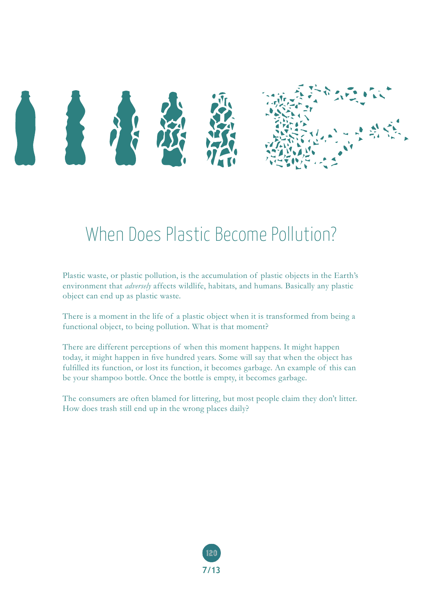

## When Does Plastic Become Pollution?

Plastic waste, or plastic pollution, is the accumulation of plastic objects in the Earth's environment that *adversely* affects wildlife, habitats, and humans. Basically any plastic object can end up as plastic waste.

There is a moment in the life of a plastic object when it is transformed from being a functional object, to being pollution. What is that moment?

There are different perceptions of when this moment happens. It might happen today, it might happen in five hundred years. Some will say that when the object has fulfilled its function, or lost its function, it becomes garbage. An example of this can be your shampoo bottle. Once the bottle is empty, it becomes garbage.

The consumers are often blamed for littering, but most people claim they don't litter. How does trash still end up in the wrong places daily?

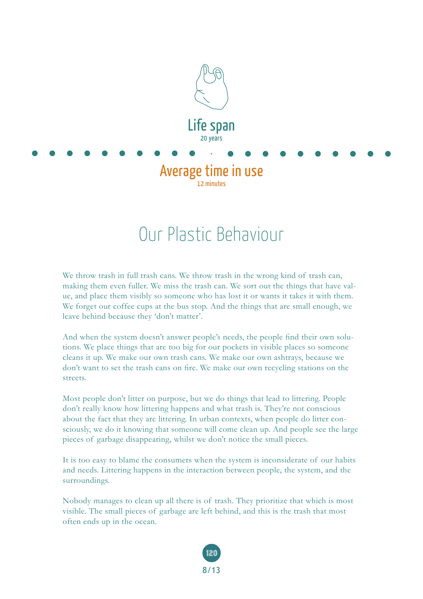

### Our Plastic Behaviour

We throw trash in full trash cans. We throw trash in the wrong kind of trash can, making them even fuller. We miss the trash can. We sort out the things that have value, and place them visibly so someone who has lost it or wants it takes it with them. We forget our coffee cups at the bus stop. And the things that are small enough, we leave behind because they 'don't matter'.

And when the system doesn't answer people's needs, the people find their own solutions. We place things that are too big for our pockets in visible places so someone cleans it up. We make our own trash cans. We make our own ashtrays, because we don't want to set the trash cans on fire. We make our own recycling stations on the streets.

Most people don't litter on purpose, but we do things that lead to littering. People don't really know how littering happens and what trash is. They're not conscious about the fact that they are littering. In urban contexts, when people do litter consciously, we do it knowing that someone will come clean up. And people see the large pieces of garbage disappearing, whilst we don't notice the small pieces.

It is too easy to blame the consumers when the system is inconsiderate of our habits and needs. Littering happens in the interaction between people, the system, and the surroundings.

Nobody manages to clean up all there is of trash. They prioritize that which is most visible. The small pieces of garbage are left behind, and this is the trash that most often ends up in the ocean.

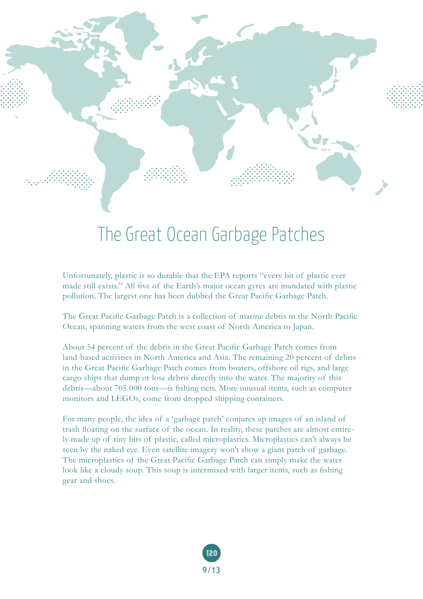

### The Great Ocean Garbage Patches

Unfortunately, plastic is so durable that the EPA reports "every bit of plastic ever made still exists." All five of the Earth's major ocean gyres are inundated with plastic pollution. The largest one has been dubbed the Great Pacific Garbage Patch.

The Great Pacific Garbage Patch is a collection of marine debris in the North Pacific Ocean, spanning waters from the west coast of North America to Japan.

About 54 percent of the debris in the Great Pacific Garbage Patch comes from land-based activities in North America and Asia. The remaining 20 percent of debris in the Great Pacific Garbage Patch comes from boaters, offshore oil rigs, and large cargo ships that dump or lose debris directly into the water. The majority of this debris—about 705 000 tons—is fishing nets. More unusual items, such as computer monitors and LEGOs, come from dropped shipping containers.

For many people, the idea of a 'garbage patch' conjures up images of an island of trash floating on the surface of the ocean. In reality, these patches are almost entirely made up of tiny bits of plastic, called microplastics. Microplastics can't always be seen by the naked eye. Even satellite imagery won't show a giant patch of garbage. The microplastics of the Great Pacific Garbage Patch can simply make the water look like a cloudy soup. This soup is intermixed with larger items, such as fishing gear and shoes.

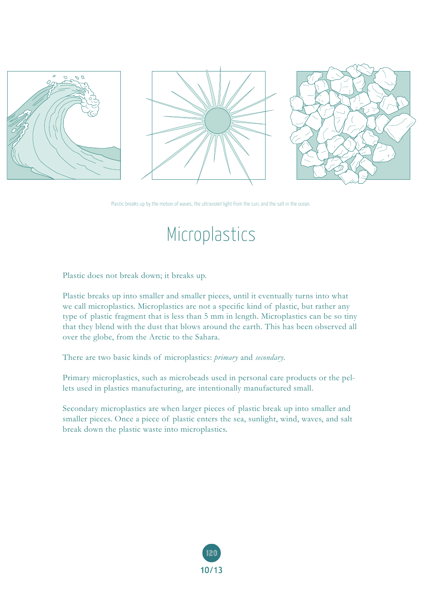





Plastic breaks up by the motion of waves, the ultraviolet light from the sun, and the salt in the ocean.

### Microplastics

Plastic does not break down; it breaks up.

Plastic breaks up into smaller and smaller pieces, until it eventually turns into what we call microplastics. Microplastics are not a specific kind of plastic, but rather any type of plastic fragment that is less than 5 mm in length. Microplastics can be so tiny that they blend with the dust that blows around the earth. This has been observed all over the globe, from the Arctic to the Sahara.

There are two basic kinds of microplastics: *primary* and *secondary*.

Primary microplastics, such as microbeads used in personal care products or the pellets used in plastics manufacturing, are intentionally manufactured small.

Secondary microplastics are when larger pieces of plastic break up into smaller and smaller pieces. Once a piece of plastic enters the sea, sunlight, wind, waves, and salt break down the plastic waste into microplastics.

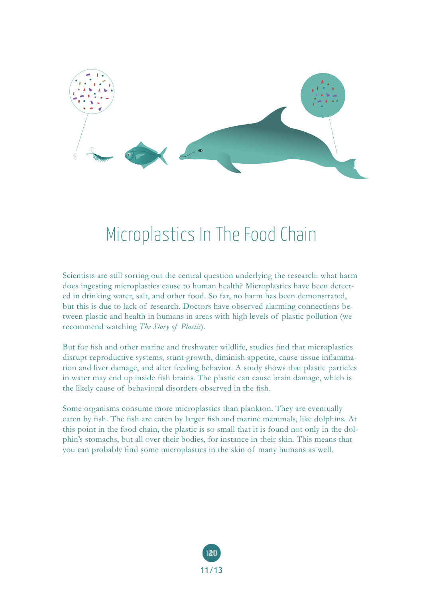

## Microplastics In The Food Chain

Scientists are still sorting out the central question underlying the research: what harm does ingesting microplastics cause to human health? Microplastics have been detected in drinking water, salt, and other food. So far, no harm has been demonstrated, but this is due to lack of research. Doctors have observed alarming connections between plastic and health in humans in areas with high levels of plastic pollution (we recommend watching *The Story of Plastic*).

But for fish and other marine and freshwater wildlife, studies find that microplastics disrupt reproductive systems, stunt growth, diminish appetite, cause tissue inflammation and liver damage, and alter feeding behavior. A study shows that plastic particles in water may end up inside fish brains. The plastic can cause brain damage, which is the likely cause of behavioral disorders observed in the fish.

Some organisms consume more microplastics than plankton. They are eventually eaten by fish. The fish are eaten by larger fish and marine mammals, like dolphins. At this point in the food chain, the plastic is so small that it is found not only in the dolphin's stomachs, but all over their bodies, for instance in their skin. This means that you can probably find some microplastics in the skin of many humans as well.

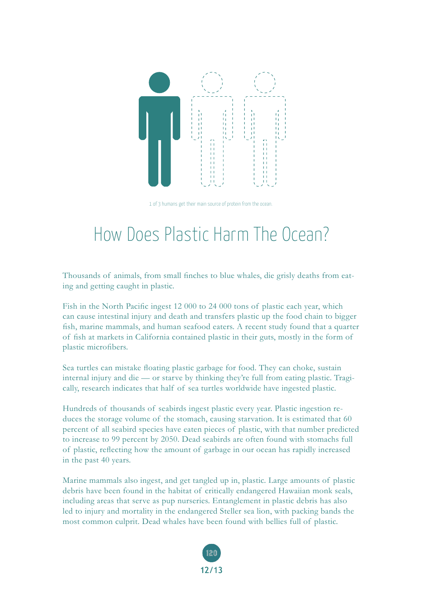

1 of 3 humans get their main source of protein from the ocean.

## How Does Plastic Harm The Ocean?

Thousands of animals, from small finches to blue whales, die grisly deaths from eating and getting caught in plastic.

Fish in the North Pacific ingest 12 000 to 24 000 tons of plastic each year, which can cause intestinal injury and death and transfers plastic up the food chain to bigger fish, marine mammals, and human seafood eaters. A recent study found that a quarter of fish at markets in California contained plastic in their guts, mostly in the form of plastic microfibers.

Sea turtles can mistake floating plastic garbage for food. They can choke, sustain internal injury and die — or starve by thinking they're full from eating plastic. Tragically, research indicates that half of sea turtles worldwide have ingested plastic.

Hundreds of thousands of seabirds ingest plastic every year. Plastic ingestion reduces the storage volume of the stomach, causing starvation. It is estimated that 60 percent of all seabird species have eaten pieces of plastic, with that number predicted to increase to 99 percent by 2050. Dead seabirds are often found with stomachs full of plastic, reflecting how the amount of garbage in our ocean has rapidly increased in the past 40 years.

Marine mammals also ingest, and get tangled up in, plastic. Large amounts of plastic debris have been found in the habitat of critically endangered Hawaiian monk seals, including areas that serve as pup nurseries. Entanglement in plastic debris has also led to injury and mortality in the endangered Steller sea lion, with packing bands the most common culprit. Dead whales have been found with bellies full of plastic.